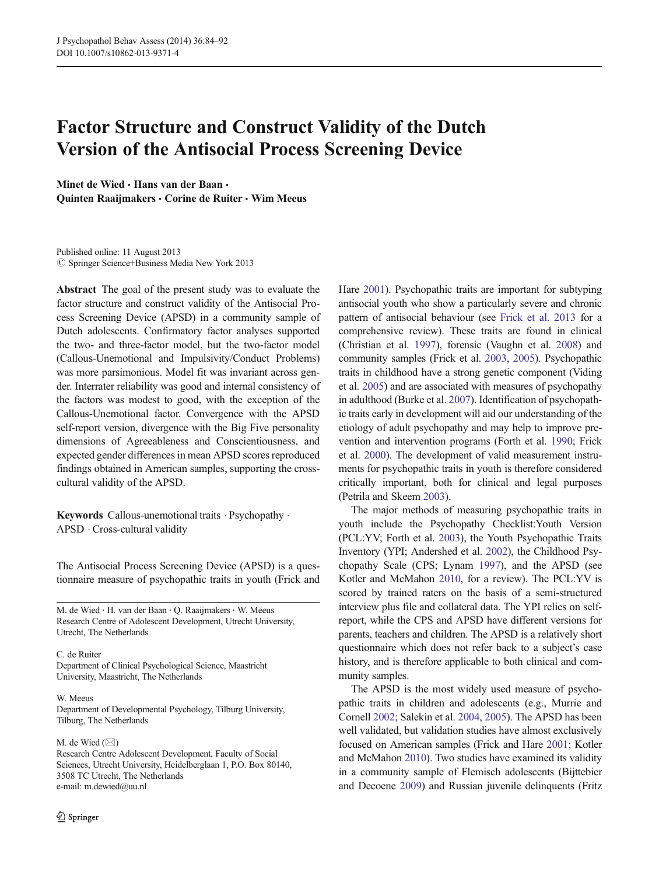# Factor Structure and Construct Validity of the Dutch Version of the Antisocial Process Screening Device

Minet de Wied · Hans van der Baan · Quinten Raaijmakers · Corine de Ruiter · Wim Meeus

Published online: 11 August 2013  $\circledcirc$  Springer Science+Business Media New York 2013

Abstract The goal of the present study was to evaluate the factor structure and construct validity of the Antisocial Process Screening Device (APSD) in a community sample of Dutch adolescents. Confirmatory factor analyses supported the two- and three-factor model, but the two-factor model (Callous-Unemotional and Impulsivity/Conduct Problems) was more parsimonious. Model fit was invariant across gender. Interrater reliability was good and internal consistency of the factors was modest to good, with the exception of the Callous-Unemotional factor. Convergence with the APSD self-report version, divergence with the Big Five personality dimensions of Agreeableness and Conscientiousness, and expected gender differences in mean APSD scores reproduced findings obtained in American samples, supporting the crosscultural validity of the APSD.

Keywords Callous-unemotional traits . Psychopathy . APSD . Cross-cultural validity

The Antisocial Process Screening Device (APSD) is a questionnaire measure of psychopathic traits in youth (Frick and

M. de Wied · H. van der Baan · Q. Raaijmakers · W. Meeus Research Centre of Adolescent Development, Utrecht University, Utrecht, The Netherlands

## C. de Ruiter

Department of Clinical Psychological Science, Maastricht University, Maastricht, The Netherlands

#### W. Meeus

Department of Developmental Psychology, Tilburg University, Tilburg, The Netherlands

#### M. de Wied  $(\boxtimes)$

Research Centre Adolescent Development, Faculty of Social Sciences, Utrecht University, Heidelberglaan 1, P.O. Box 80140, 3508 TC Utrecht, The Netherlands e-mail: m.dewied@uu.nl

Hare [2001](#page-7-0)). Psychopathic traits are important for subtyping antisocial youth who show a particularly severe and chronic pattern of antisocial behaviour (see [Frick et al. 2013](#page-7-0) for a comprehensive review). These traits are found in clinical (Christian et al. [1997](#page-7-0)), forensic (Vaughn et al. [2008](#page-8-0)) and community samples (Frick et al. [2003](#page-7-0), [2005\)](#page-7-0). Psychopathic traits in childhood have a strong genetic component (Viding et al. [2005](#page-8-0)) and are associated with measures of psychopathy in adulthood (Burke et al. [2007](#page-7-0)). Identification of psychopathic traits early in development will aid our understanding of the etiology of adult psychopathy and may help to improve prevention and intervention programs (Forth et al. [1990;](#page-7-0) Frick et al. [2000\)](#page-7-0). The development of valid measurement instruments for psychopathic traits in youth is therefore considered critically important, both for clinical and legal purposes (Petrila and Skeem [2003](#page-8-0)).

The major methods of measuring psychopathic traits in youth include the Psychopathy Checklist:Youth Version (PCL:YV; Forth et al. [2003](#page-7-0)), the Youth Psychopathic Traits Inventory (YPI; Andershed et al. [2002\)](#page-7-0), the Childhood Psychopathy Scale (CPS; Lynam [1997](#page-8-0)), and the APSD (see Kotler and McMahon [2010](#page-8-0), for a review). The PCL:YV is scored by trained raters on the basis of a semi-structured interview plus file and collateral data. The YPI relies on selfreport, while the CPS and APSD have different versions for parents, teachers and children. The APSD is a relatively short questionnaire which does not refer back to a subject's case history, and is therefore applicable to both clinical and community samples.

The APSD is the most widely used measure of psychopathic traits in children and adolescents (e.g., Murrie and Cornell [2002;](#page-8-0) Salekin et al. [2004,](#page-8-0) [2005\)](#page-8-0). The APSD has been well validated, but validation studies have almost exclusively focused on American samples (Frick and Hare [2001;](#page-7-0) Kotler and McMahon [2010](#page-8-0)). Two studies have examined its validity in a community sample of Flemisch adolescents (Bijttebier and Decoene [2009](#page-7-0)) and Russian juvenile delinquents (Fritz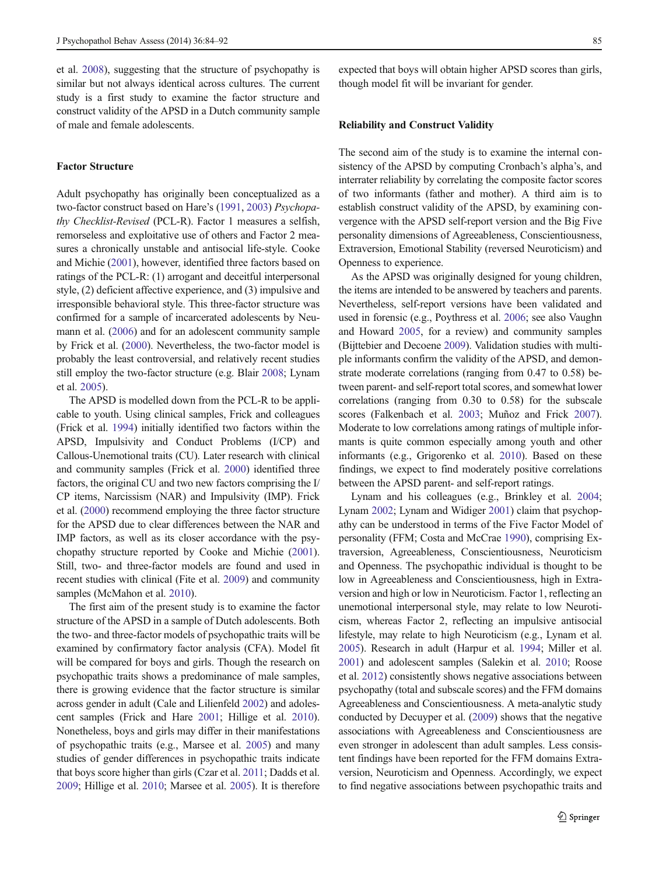et al. [2008\)](#page-7-0), suggesting that the structure of psychopathy is similar but not always identical across cultures. The current study is a first study to examine the factor structure and construct validity of the APSD in a Dutch community sample of male and female adolescents.

# Factor Structure

Adult psychopathy has originally been conceptualized as a two-factor construct based on Hare's ([1991](#page-8-0), [2003\)](#page-8-0) Psychopathy Checklist-Revised (PCL-R). Factor 1 measures a selfish, remorseless and exploitative use of others and Factor 2 measures a chronically unstable and antisocial life-style. Cooke and Michie [\(2001\)](#page-7-0), however, identified three factors based on ratings of the PCL-R: (1) arrogant and deceitful interpersonal style, (2) deficient affective experience, and (3) impulsive and irresponsible behavioral style. This three-factor structure was confirmed for a sample of incarcerated adolescents by Neumann et al. [\(2006\)](#page-8-0) and for an adolescent community sample by Frick et al. [\(2000\)](#page-7-0). Nevertheless, the two-factor model is probably the least controversial, and relatively recent studies still employ the two-factor structure (e.g. Blair [2008](#page-7-0); Lynam et al. [2005](#page-8-0)).

The APSD is modelled down from the PCL-R to be applicable to youth. Using clinical samples, Frick and colleagues (Frick et al. [1994\)](#page-7-0) initially identified two factors within the APSD, Impulsivity and Conduct Problems (I/CP) and Callous-Unemotional traits (CU). Later research with clinical and community samples (Frick et al. [2000](#page-7-0)) identified three factors, the original CU and two new factors comprising the I/ CP items, Narcissism (NAR) and Impulsivity (IMP). Frick et al. ([2000](#page-7-0)) recommend employing the three factor structure for the APSD due to clear differences between the NAR and IMP factors, as well as its closer accordance with the psychopathy structure reported by Cooke and Michie ([2001\)](#page-7-0). Still, two- and three-factor models are found and used in recent studies with clinical (Fite et al. [2009\)](#page-7-0) and community samples (McMahon et al. [2010](#page-8-0)).

The first aim of the present study is to examine the factor structure of the APSD in a sample of Dutch adolescents. Both the two- and three-factor models of psychopathic traits will be examined by confirmatory factor analysis (CFA). Model fit will be compared for boys and girls. Though the research on psychopathic traits shows a predominance of male samples, there is growing evidence that the factor structure is similar across gender in adult (Cale and Lilienfeld [2002\)](#page-7-0) and adolescent samples (Frick and Hare [2001;](#page-7-0) Hillige et al. [2010\)](#page-8-0). Nonetheless, boys and girls may differ in their manifestations of psychopathic traits (e.g., Marsee et al. [2005\)](#page-8-0) and many studies of gender differences in psychopathic traits indicate that boys score higher than girls (Czar et al. [2011;](#page-7-0) Dadds et al. [2009;](#page-7-0) Hillige et al. [2010](#page-8-0); Marsee et al. [2005](#page-8-0)). It is therefore expected that boys will obtain higher APSD scores than girls, though model fit will be invariant for gender.

## Reliability and Construct Validity

The second aim of the study is to examine the internal consistency of the APSD by computing Cronbach's alpha's, and interrater reliability by correlating the composite factor scores of two informants (father and mother). A third aim is to establish construct validity of the APSD, by examining convergence with the APSD self-report version and the Big Five personality dimensions of Agreeableness, Conscientiousness, Extraversion, Emotional Stability (reversed Neuroticism) and Openness to experience.

As the APSD was originally designed for young children, the items are intended to be answered by teachers and parents. Nevertheless, self-report versions have been validated and used in forensic (e.g., Poythress et al. [2006](#page-8-0); see also Vaughn and Howard [2005](#page-8-0), for a review) and community samples (Bijttebier and Decoene [2009\)](#page-7-0). Validation studies with multiple informants confirm the validity of the APSD, and demonstrate moderate correlations (ranging from 0.47 to 0.58) between parent- and self-report total scores, and somewhat lower correlations (ranging from 0.30 to 0.58) for the subscale scores (Falkenbach et al. [2003](#page-7-0); Muñoz and Frick [2007\)](#page-8-0). Moderate to low correlations among ratings of multiple informants is quite common especially among youth and other informants (e.g., Grigorenko et al. [2010](#page-8-0)). Based on these findings, we expect to find moderately positive correlations between the APSD parent- and self-report ratings.

Lynam and his colleagues (e.g., Brinkley et al. [2004;](#page-7-0) Lynam [2002;](#page-8-0) Lynam and Widiger [2001](#page-8-0)) claim that psychopathy can be understood in terms of the Five Factor Model of personality (FFM; Costa and McCrae [1990](#page-7-0)), comprising Extraversion, Agreeableness, Conscientiousness, Neuroticism and Openness. The psychopathic individual is thought to be low in Agreeableness and Conscientiousness, high in Extraversion and high or low in Neuroticism. Factor 1, reflecting an unemotional interpersonal style, may relate to low Neuroticism, whereas Factor 2, reflecting an impulsive antisocial lifestyle, may relate to high Neuroticism (e.g., Lynam et al. [2005\)](#page-8-0). Research in adult (Harpur et al. [1994;](#page-8-0) Miller et al. [2001\)](#page-8-0) and adolescent samples (Salekin et al. [2010;](#page-8-0) Roose et al. [2012\)](#page-8-0) consistently shows negative associations between psychopathy (total and subscale scores) and the FFM domains Agreeableness and Conscientiousness. A meta-analytic study conducted by Decuyper et al. ([2009\)](#page-7-0) shows that the negative associations with Agreeableness and Conscientiousness are even stronger in adolescent than adult samples. Less consistent findings have been reported for the FFM domains Extraversion, Neuroticism and Openness. Accordingly, we expect to find negative associations between psychopathic traits and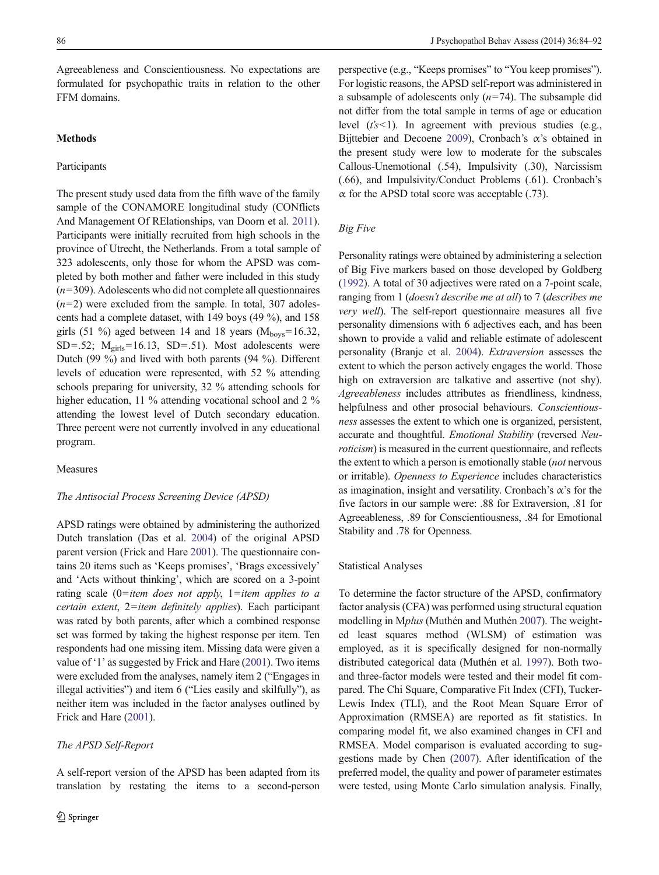Agreeableness and Conscientiousness. No expectations are formulated for psychopathic traits in relation to the other FFM domains.

## Methods

#### Participants

The present study used data from the fifth wave of the family sample of the CONAMORE longitudinal study (CONflicts And Management Of RElationships, van Doorn et al. [2011\)](#page-8-0). Participants were initially recruited from high schools in the province of Utrecht, the Netherlands. From a total sample of 323 adolescents, only those for whom the APSD was completed by both mother and father were included in this study  $(n=309)$ . Adolescents who did not complete all questionnaires  $(n=2)$  were excluded from the sample. In total, 307 adolescents had a complete dataset, with 149 boys (49 %), and 158 girls (51 %) aged between 14 and 18 years ( $M_{\text{boys}}$ =16.32, SD=.52;  $M_{\text{girls}}$ =16.13, SD=.51). Most adolescents were Dutch (99 %) and lived with both parents (94 %). Different levels of education were represented, with 52 % attending schools preparing for university, 32 % attending schools for higher education, 11 % attending vocational school and 2 % attending the lowest level of Dutch secondary education. Three percent were not currently involved in any educational program.

# Measures

# The Antisocial Process Screening Device (APSD)

APSD ratings were obtained by administering the authorized Dutch translation (Das et al. [2004\)](#page-7-0) of the original APSD parent version (Frick and Hare [2001\)](#page-7-0). The questionnaire contains 20 items such as 'Keeps promises', 'Brags excessively' and 'Acts without thinking', which are scored on a 3-point rating scale (0=item does not apply, 1=item applies to a certain extent, 2=item definitely applies). Each participant was rated by both parents, after which a combined response set was formed by taking the highest response per item. Ten respondents had one missing item. Missing data were given a value of '1' as suggested by Frick and Hare ([2001](#page-7-0)). Two items were excluded from the analyses, namely item 2 ("Engages in illegal activities") and item 6 ("Lies easily and skilfully"), as neither item was included in the factor analyses outlined by Frick and Hare [\(2001\)](#page-7-0).

# The APSD Self-Report

A self-report version of the APSD has been adapted from its translation by restating the items to a second-person perspective (e.g., "Keeps promises" to "You keep promises"). For logistic reasons, the APSD self-report was administered in a subsample of adolescents only  $(n=74)$ . The subsample did not differ from the total sample in terms of age or education level  $(t's < 1)$ . In agreement with previous studies (e.g., Bijttebier and Decoene [2009](#page-7-0)), Cronbach's  $\alpha$ 's obtained in the present study were low to moderate for the subscales Callous-Unemotional (.54), Impulsivity (.30), Narcissism (.66), and Impulsivity/Conduct Problems (.61). Cronbach's  $\alpha$  for the APSD total score was acceptable (.73).

# Big Five

Personality ratings were obtained by administering a selection of Big Five markers based on those developed by Goldberg [\(1992\)](#page-7-0). A total of 30 adjectives were rated on a 7-point scale, ranging from 1 (doesn't describe me at all) to 7 (describes me very well). The self-report questionnaire measures all five personality dimensions with 6 adjectives each, and has been shown to provide a valid and reliable estimate of adolescent personality (Branje et al. [2004\)](#page-7-0). Extraversion assesses the extent to which the person actively engages the world. Those high on extraversion are talkative and assertive (not shy). Agreeableness includes attributes as friendliness, kindness, helpfulness and other prosocial behaviours. Conscientiousness assesses the extent to which one is organized, persistent, accurate and thoughtful. Emotional Stability (reversed Neuroticism) is measured in the current questionnaire, and reflects the extent to which a person is emotionally stable (not nervous or irritable). Openness to Experience includes characteristics as imagination, insight and versatility. Cronbach's  $\alpha$ 's for the five factors in our sample were: .88 for Extraversion, .81 for Agreeableness, .89 for Conscientiousness, .84 for Emotional Stability and .78 for Openness.

### Statistical Analyses

To determine the factor structure of the APSD, confirmatory factor analysis (CFA) was performed using structural equation modelling in Mplus (Muthén and Muthén [2007](#page-8-0)). The weighted least squares method (WLSM) of estimation was employed, as it is specifically designed for non-normally distributed categorical data (Muthén et al. [1997](#page-8-0)). Both twoand three-factor models were tested and their model fit compared. The Chi Square, Comparative Fit Index (CFI), Tucker-Lewis Index (TLI), and the Root Mean Square Error of Approximation (RMSEA) are reported as fit statistics. In comparing model fit, we also examined changes in CFI and RMSEA. Model comparison is evaluated according to suggestions made by Chen [\(2007\)](#page-7-0). After identification of the preferred model, the quality and power of parameter estimates were tested, using Monte Carlo simulation analysis. Finally,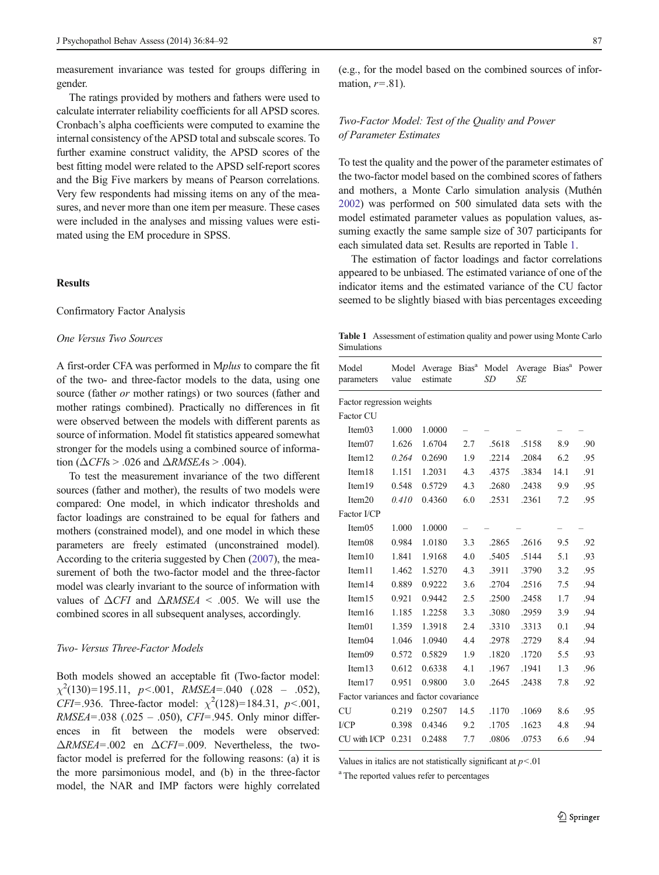<span id="page-3-0"></span>measurement invariance was tested for groups differing in gender.

The ratings provided by mothers and fathers were used to calculate interrater reliability coefficients for all APSD scores. Cronbach's alpha coefficients were computed to examine the internal consistency of the APSD total and subscale scores. To further examine construct validity, the APSD scores of the best fitting model were related to the APSD self-report scores and the Big Five markers by means of Pearson correlations. Very few respondents had missing items on any of the measures, and never more than one item per measure. These cases were included in the analyses and missing values were estimated using the EM procedure in SPSS.

# Results

#### Confirmatory Factor Analysis

# One Versus Two Sources

A first-order CFA was performed in Mplus to compare the fit of the two- and three-factor models to the data, using one source (father *or* mother ratings) or two sources (father and mother ratings combined). Practically no differences in fit were observed between the models with different parents as source of information. Model fit statistics appeared somewhat stronger for the models using a combined source of information ( $\triangle CFI$ s > .026 and  $\triangle RMSEAs$  > .004).

To test the measurement invariance of the two different sources (father and mother), the results of two models were compared: One model, in which indicator thresholds and factor loadings are constrained to be equal for fathers and mothers (constrained model), and one model in which these parameters are freely estimated (unconstrained model). According to the criteria suggested by Chen ([2007](#page-7-0)), the measurement of both the two-factor model and the three-factor model was clearly invariant to the source of information with values of  $\Delta$ CFI and  $\Delta$ RMSEA < .005. We will use the combined scores in all subsequent analyses, accordingly.

# Two- Versus Three-Factor Models

Both models showed an acceptable fit (Two-factor model:  $\chi^2(130)=195.11, p<0.001, RMSEA=.040$  (.028 - .052), *CFI*=.936. Three-factor model:  $\chi^2(128)$ =184.31, *p* <.001,  $RMSEA = .038$  (.025 – .050),  $CFI = .945$ . Only minor differences in fit between the models were observed:  $\triangle RMSEA = .002$  en  $\triangle CFI = .009$ . Nevertheless, the twofactor model is preferred for the following reasons: (a) it is the more parsimonious model, and (b) in the three-factor model, the NAR and IMP factors were highly correlated (e.g., for the model based on the combined sources of information,  $r=.81$ ).

# Two-Factor Model: Test of the Quality and Power of Parameter Estimates

To test the quality and the power of the parameter estimates of the two-factor model based on the combined scores of fathers and mothers, a Monte Carlo simulation analysis (Muthén [2002\)](#page-8-0) was performed on 500 simulated data sets with the model estimated parameter values as population values, assuming exactly the same sample size of 307 participants for each simulated data set. Results are reported in Table 1.

The estimation of factor loadings and factor correlations appeared to be unbiased. The estimated variance of one of the indicator items and the estimated variance of the CU factor seemed to be slightly biased with bias percentages exceeding

Table 1 Assessment of estimation quality and power using Monte Carlo Simulations

| Model<br>parameters                    | Model<br>value | Average<br>estimate | Bias <sup>a</sup> | Model<br>SD | Average<br>SE | Bias <sup>a</sup> | Power |
|----------------------------------------|----------------|---------------------|-------------------|-------------|---------------|-------------------|-------|
| Factor regression weights              |                |                     |                   |             |               |                   |       |
| Factor CU                              |                |                     |                   |             |               |                   |       |
| Item03                                 | 1.000          | 1.0000              |                   |             |               |                   |       |
| Item07                                 | 1.626          | 1.6704              | 2.7               | .5618       | .5158         | 8.9               | .90   |
| Item12                                 | 0.264          | 0.2690              | 1.9               | .2214       | .2084         | 6.2               | .95   |
| Item18                                 | 1.151          | 1.2031              | 4.3               | .4375       | .3834         | 14.1              | .91   |
| Item19                                 | 0.548          | 0.5729              | 4.3               | .2680       | .2438         | 9.9               | .95   |
| Item <sub>20</sub>                     | 0.410          | 0.4360              | 6.0               | .2531       | .2361         | 7.2               | .95   |
| Factor I/CP                            |                |                     |                   |             |               |                   |       |
|                                        |                |                     |                   |             |               |                   |       |
| Item05                                 | 1.000          | 1.0000              |                   |             |               |                   |       |
| Item08                                 | 0.984          | 1.0180              | 3.3               | .2865       | .2616         | 9.5               | .92   |
| Item10                                 | 1.841          | 1.9168              | 4.0               | .5405       | .5144         | 5.1               | .93   |
| Item <sub>11</sub>                     | 1.462          | 1.5270              | 4.3               | .3911       | .3790         | 3.2               | .95   |
| Item14                                 | 0.889          | 0.9222              | 3.6               | .2704       | .2516         | 7.5               | .94   |
| Item15                                 | 0.921          | 0.9442              | 2.5               | .2500       | .2458         | 1.7               | .94   |
| Item16                                 | 1.185          | 1.2258              | 3.3               | .3080       | .2959         | 3.9               | .94   |
| Item01                                 | 1.359          | 1.3918              | 2.4               | .3310       | .3313         | 0.1               | .94   |
| Item04                                 | 1.046          | 1.0940              | 4.4               | .2978       | .2729         | 8.4               | .94   |
| Item09                                 | 0.572          | 0.5829              | 1.9               | .1820       | .1720         | 5.5               | .93   |
| Item13                                 | 0.612          | 0.6338              | 4.1               | .1967       | .1941         | 1.3               | .96   |
| Item17                                 | 0.951          | 0.9800              | 3.0               | .2645       | .2438         | 7.8               | .92   |
| Factor variances and factor covariance |                |                     |                   |             |               |                   |       |
| <b>CU</b>                              | 0.219          | 0.2507              | 14.5              | .1170       | .1069         | 8.6               | .95   |
| $\Gamma$                               | 0.398          | 0.4346              | 9.2               | .1705       | .1623         | 4.8               | .94   |
| CU with I/CP                           | 0.231          | 0.2488              | 7.7               | .0806       | .0753         | 6.6               | .94   |

Values in italics are not statistically significant at  $p < 01$ 

<sup>a</sup> The reported values refer to percentages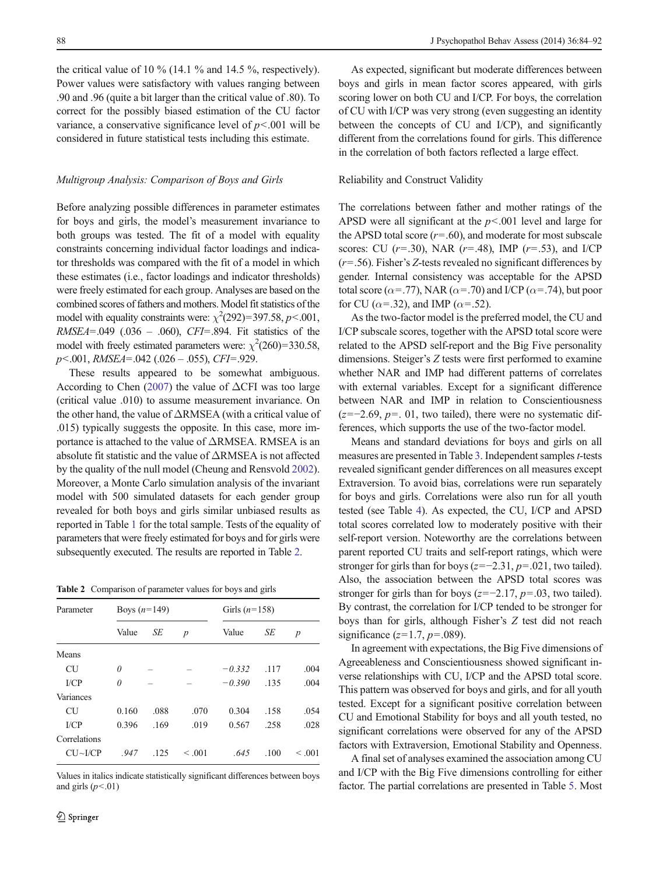the critical value of 10  $\%$  (14.1  $\%$  and 14.5  $\%$ , respectively). Power values were satisfactory with values ranging between .90 and .96 (quite a bit larger than the critical value of .80). To correct for the possibly biased estimation of the CU factor variance, a conservative significance level of  $p < .001$  will be considered in future statistical tests including this estimate.

#### Multigroup Analysis: Comparison of Boys and Girls

Before analyzing possible differences in parameter estimates for boys and girls, the model's measurement invariance to both groups was tested. The fit of a model with equality constraints concerning individual factor loadings and indicator thresholds was compared with the fit of a model in which these estimates (i.e., factor loadings and indicator thresholds) were freely estimated for each group. Analyses are based on the combined scores of fathers and mothers. Model fit statistics of the model with equality constraints were:  $\chi^2(292)=397.58, p<.001,$  $RMSEA = .049$  (.036 – .060),  $CFI = .894$ . Fit statistics of the model with freely estimated parameters were:  $\chi^2(260)=330.58$ ,  $p<0.001$ , RMSEA=.042 (.026 – .055), CFI=.929.

These results appeared to be somewhat ambiguous. According to Chen [\(2007\)](#page-7-0) the value of  $\Delta$ CFI was too large (critical value .010) to assume measurement invariance. On the other hand, the value of ΔRMSEA (with a critical value of .015) typically suggests the opposite. In this case, more importance is attached to the value of ΔRMSEA. RMSEA is an absolute fit statistic and the value of ΔRMSEA is not affected by the quality of the null model (Cheung and Rensvold [2002\)](#page-7-0). Moreover, a Monte Carlo simulation analysis of the invariant model with 500 simulated datasets for each gender group revealed for both boys and girls similar unbiased results as reported in Table [1](#page-3-0) for the total sample. Tests of the equality of parameters that were freely estimated for boys and for girls were subsequently executed. The results are reported in Table 2.

Table 2 Comparison of parameter values for boys and girls

| Parameter    |       | Boys $(n=149)$ |                  | Girls $(n=158)$ |      |                  |  |
|--------------|-------|----------------|------------------|-----------------|------|------------------|--|
|              | Value | SЕ             | $\boldsymbol{p}$ | Value           | SЕ   | $\boldsymbol{p}$ |  |
| Means        |       |                |                  |                 |      |                  |  |
| <b>CU</b>    | 0     |                |                  | $-0.332$        | .117 | .004             |  |
| I/CP         | 0     |                |                  | $-0.390$        | .135 | .004             |  |
| Variances    |       |                |                  |                 |      |                  |  |
| <b>CU</b>    | 0.160 | .088           | .070             | 0.304           | .158 | .054             |  |
| I/CP         | 0.396 | .169           | .019             | 0.567           | .258 | .028             |  |
| Correlations |       |                |                  |                 |      |                  |  |
| CU~VCP       | .947  | .125           | < 0.01           | .645            | .100 | < 0.01           |  |

Values in italics indicate statistically significant differences between boys and girls  $(p<.01)$ 

As expected, significant but moderate differences between boys and girls in mean factor scores appeared, with girls scoring lower on both CU and I/CP. For boys, the correlation of CU with I/CP was very strong (even suggesting an identity between the concepts of CU and I/CP), and significantly different from the correlations found for girls. This difference in the correlation of both factors reflected a large effect.

# Reliability and Construct Validity

The correlations between father and mother ratings of the APSD were all significant at the  $p<0.001$  level and large for the APSD total score  $(r=.60)$ , and moderate for most subscale scores: CU  $(r=.30)$ , NAR  $(r=.48)$ , IMP  $(r=.53)$ , and I/CP  $(r=.56)$ . Fisher's Z-tests revealed no significant differences by gender. Internal consistency was acceptable for the APSD total score ( $\alpha$ =.77), NAR ( $\alpha$ =.70) and I/CP ( $\alpha$ =.74), but poor for CU ( $\alpha$ =.32), and IMP ( $\alpha$ =.52).

As the two-factor model is the preferred model, the CU and I/CP subscale scores, together with the APSD total score were related to the APSD self-report and the Big Five personality dimensions. Steiger's Z tests were first performed to examine whether NAR and IMP had different patterns of correlates with external variables. Except for a significant difference between NAR and IMP in relation to Conscientiousness  $(z=-2.69, p=0.1,$  two tailed), there were no systematic differences, which supports the use of the two-factor model.

Means and standard deviations for boys and girls on all measures are presented in Table [3](#page-5-0). Independent samples  $t$ -tests revealed significant gender differences on all measures except Extraversion. To avoid bias, correlations were run separately for boys and girls. Correlations were also run for all youth tested (see Table [4](#page-5-0)). As expected, the CU, I/CP and APSD total scores correlated low to moderately positive with their self-report version. Noteworthy are the correlations between parent reported CU traits and self-report ratings, which were stronger for girls than for boys  $(z=-2.31, p=.021$ , two tailed). Also, the association between the APSD total scores was stronger for girls than for boys  $(z=-2.17, p=.03$ , two tailed). By contrast, the correlation for I/CP tended to be stronger for boys than for girls, although Fisher's Z test did not reach significance  $(z=1.7, p=.089)$ .

In agreement with expectations, the Big Five dimensions of Agreeableness and Conscientiousness showed significant inverse relationships with CU, I/CP and the APSD total score. This pattern was observed for boys and girls, and for all youth tested. Except for a significant positive correlation between CU and Emotional Stability for boys and all youth tested, no significant correlations were observed for any of the APSD factors with Extraversion, Emotional Stability and Openness.

A final set of analyses examined the association among CU and I/CP with the Big Five dimensions controlling for either factor. The partial correlations are presented in Table [5](#page-6-0). Most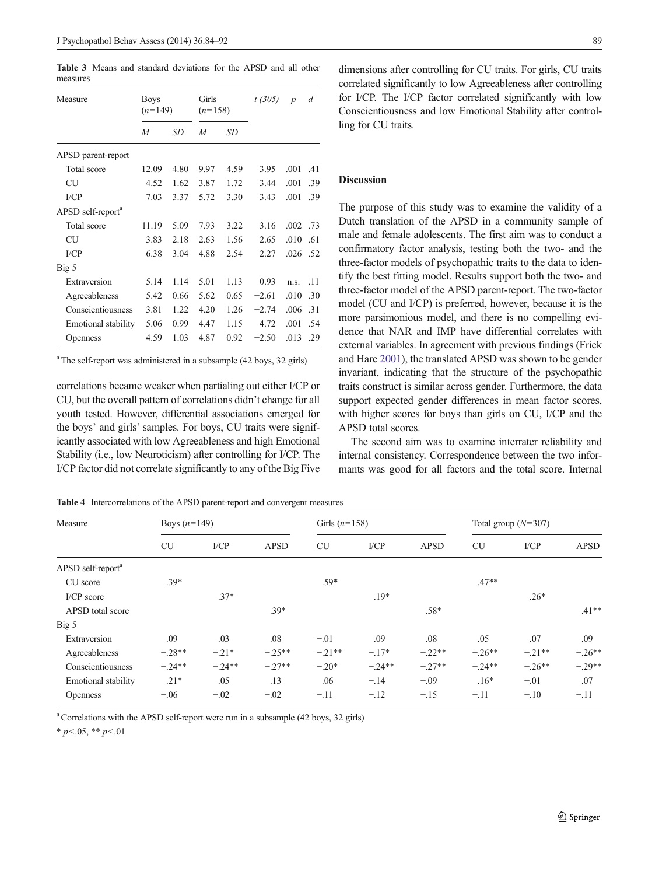<span id="page-5-0"></span>Table 3 Means and standard deviations for the APSD and all other measures

| Measure                       | <b>Boys</b><br>$(n=149)$ |      | Girls<br>$(n=158)$ |      | t(305)  | $\boldsymbol{p}$ | d   |
|-------------------------------|--------------------------|------|--------------------|------|---------|------------------|-----|
|                               | M                        | SD   | M<br>SD            |      |         |                  |     |
| APSD parent-report            |                          |      |                    |      |         |                  |     |
| Total score                   | 12.09                    | 4.80 | 9.97               | 4.59 | 3.95    | .001             | .41 |
| <b>CU</b>                     | 4.52                     | 1.62 | 3.87               | 1.72 | 3.44    | .001             | .39 |
| I/CP                          | 7.03                     | 3.37 | 5.72               | 3.30 | 3.43    | .001             | .39 |
| APSD self-report <sup>a</sup> |                          |      |                    |      |         |                  |     |
| Total score                   | 11.19                    | 5.09 | 7.93               | 3.22 | 3.16    | $.002$ .73       |     |
| <b>CU</b>                     | 3.83                     | 2.18 | 2.63               | 1.56 | 2.65    | .010             | .61 |
| I/CP                          | 6.38                     | 3.04 | 4.88               | 2.54 | 2.27    | $.026$ .52       |     |
| Big 5                         |                          |      |                    |      |         |                  |     |
| Extraversion                  | 5.14                     | 1.14 | 5.01               | 1.13 | 0.93    | n.s.             | .11 |
| Agreeableness                 | 5.42                     | 0.66 | 5.62               | 0.65 | $-2.61$ | .010             | .30 |
| Conscientiousness             | 3.81                     | 1.22 | 4.20               | 1.26 | $-2.74$ | .006             | .31 |
| Emotional stability           | 5.06                     | 0.99 | 4.47               | 1.15 | 4.72    | .001             | .54 |
| Openness                      | 4.59                     | 1.03 | 4.87               | 0.92 | $-2.50$ | .013             | .29 |

<sup>a</sup> The self-report was administered in a subsample (42 boys, 32 girls)

correlations became weaker when partialing out either I/CP or CU, but the overall pattern of correlations didn't change for all youth tested. However, differential associations emerged for the boys' and girls' samples. For boys, CU traits were significantly associated with low Agreeableness and high Emotional Stability (i.e., low Neuroticism) after controlling for I/CP. The I/CP factor did not correlate significantly to any of the Big Five dimensions after controlling for CU traits. For girls, CU traits correlated significantly to low Agreeableness after controlling for I/CP. The I/CP factor correlated significantly with low Conscientiousness and low Emotional Stability after controlling for CU traits.

# Discussion

The purpose of this study was to examine the validity of a Dutch translation of the APSD in a community sample of male and female adolescents. The first aim was to conduct a confirmatory factor analysis, testing both the two- and the three-factor models of psychopathic traits to the data to identify the best fitting model. Results support both the two- and three-factor model of the APSD parent-report. The two-factor model (CU and I/CP) is preferred, however, because it is the more parsimonious model, and there is no compelling evidence that NAR and IMP have differential correlates with external variables. In agreement with previous findings (Frick and Hare [2001](#page-7-0)), the translated APSD was shown to be gender invariant, indicating that the structure of the psychopathic traits construct is similar across gender. Furthermore, the data support expected gender differences in mean factor scores, with higher scores for boys than girls on CU, I/CP and the APSD total scores.

The second aim was to examine interrater reliability and internal consistency. Correspondence between the two informants was good for all factors and the total score. Internal

| Measure                       | Boys $(n=149)$ |          |             | Girls $(n=158)$ |          |             | Total group $(N=307)$ |          |             |
|-------------------------------|----------------|----------|-------------|-----------------|----------|-------------|-----------------------|----------|-------------|
|                               | <b>CU</b>      | I/CP     | <b>APSD</b> | <b>CU</b>       | I/CP     | <b>APSD</b> | <b>CU</b>             | I/CP     | <b>APSD</b> |
| APSD self-report <sup>a</sup> |                |          |             |                 |          |             |                       |          |             |
| CU score                      | $.39*$         |          |             | $.59*$          |          |             | $.47**$               |          |             |
| $I/CP$ score                  |                | $.37*$   |             |                 | $.19*$   |             |                       | $.26*$   |             |
| APSD total score              |                |          | $.39*$      |                 |          | $.58*$      |                       |          | $.41**$     |
| Big 5                         |                |          |             |                 |          |             |                       |          |             |
| Extraversion                  | .09            | .03      | .08         | $-.01$          | .09      | .08         | .05                   | .07      | .09         |
| Agreeableness                 | $-.28**$       | $-.21*$  | $-.25**$    | $-.21**$        | $-.17*$  | $-.22**$    | $-.26**$              | $-.21**$ | $-.26**$    |
| Conscientiousness             | $-.24**$       | $-.24**$ | $-.27**$    | $-.20*$         | $-.24**$ | $-.27**$    | $-.24**$              | $-.26**$ | $-.29**$    |
| <b>Emotional stability</b>    | $.21*$         | .05      | .13         | .06             | $-.14$   | $-.09$      | $.16*$                | $-.01$   | .07         |
| <b>Openness</b>               | $-.06$         | $-.02$   | $-.02$      | $-.11$          | $-.12$   | $-.15$      | $-.11$                | $-.10$   | $-.11$      |

Table 4 Intercorrelations of the APSD parent-report and convergent measures

<sup>a</sup> Correlations with the APSD self-report were run in a subsample (42 boys, 32 girls)

 $* p < .05, ** p < .01$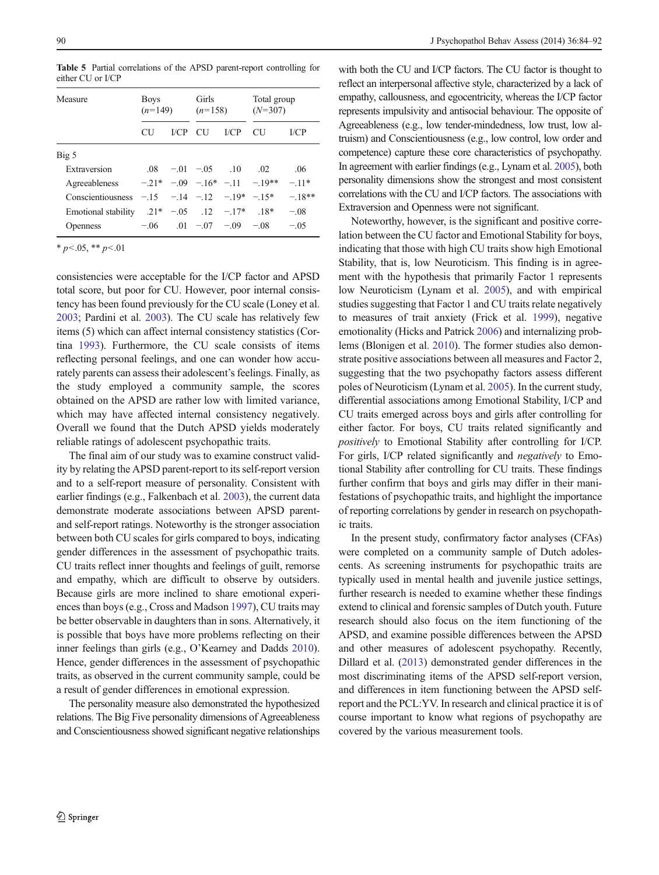<span id="page-6-0"></span>Table 5 Partial correlations of the APSD parent-report controlling for either CU or I/CP

| Measure                                                 | <b>Boys</b><br>$(n=149)$ |              | <b>Girls</b><br>$(n=158)$ |                                   | Total group<br>$(N=307)$               |          |
|---------------------------------------------------------|--------------------------|--------------|---------------------------|-----------------------------------|----------------------------------------|----------|
|                                                         | <b>CU</b>                | $I/CP$ $CII$ |                           | LCP                               | CU                                     | LCP      |
| Big 5                                                   |                          |              |                           |                                   |                                        |          |
| Extraversion                                            | $.08 -$                  |              | $-.01 - 0.05$ .10         |                                   | .02                                    | .06      |
| Agreeableness                                           |                          |              |                           |                                   | $-21^*$ $-09$ $-16^*$ $-11$ $-19^{**}$ | $-11*$   |
| Conscientiousness                                       |                          |              |                           | $-15$ $-14$ $-12$ $-19$ * $-15$ * |                                        | $-.18**$ |
| Emotional stability $.21^* -.05$ $.12$ $-.17^*$ $.18^*$ |                          |              |                           |                                   |                                        | $-.08$   |
| Openness                                                | $-.06$                   |              |                           | $.01 - .07 - .09 - .08$           |                                        | $-.05$   |

 $* p < .05, ** p < .01$ 

consistencies were acceptable for the I/CP factor and APSD total score, but poor for CU. However, poor internal consistency has been found previously for the CU scale (Loney et al. [2003;](#page-8-0) Pardini et al. [2003\)](#page-8-0). The CU scale has relatively few items (5) which can affect internal consistency statistics (Cortina [1993](#page-7-0)). Furthermore, the CU scale consists of items reflecting personal feelings, and one can wonder how accurately parents can assess their adolescent's feelings. Finally, as the study employed a community sample, the scores obtained on the APSD are rather low with limited variance, which may have affected internal consistency negatively. Overall we found that the Dutch APSD yields moderately reliable ratings of adolescent psychopathic traits.

The final aim of our study was to examine construct validity by relating the APSD parent-report to its self-report version and to a self-report measure of personality. Consistent with earlier findings (e.g., Falkenbach et al. [2003](#page-7-0)), the current data demonstrate moderate associations between APSD parentand self-report ratings. Noteworthy is the stronger association between both CU scales for girls compared to boys, indicating gender differences in the assessment of psychopathic traits. CU traits reflect inner thoughts and feelings of guilt, remorse and empathy, which are difficult to observe by outsiders. Because girls are more inclined to share emotional experiences than boys (e.g., Cross and Madson [1997](#page-7-0)), CU traits may be better observable in daughters than in sons. Alternatively, it is possible that boys have more problems reflecting on their inner feelings than girls (e.g., O'Kearney and Dadds [2010\)](#page-8-0). Hence, gender differences in the assessment of psychopathic traits, as observed in the current community sample, could be a result of gender differences in emotional expression.

The personality measure also demonstrated the hypothesized relations. The Big Five personality dimensions of Agreeableness and Conscientiousness showed significant negative relationships

with both the CU and I/CP factors. The CU factor is thought to reflect an interpersonal affective style, characterized by a lack of empathy, callousness, and egocentricity, whereas the I/CP factor represents impulsivity and antisocial behaviour. The opposite of Agreeableness (e.g., low tender-mindedness, low trust, low altruism) and Conscientiousness (e.g., low control, low order and competence) capture these core characteristics of psychopathy. In agreement with earlier findings (e.g., Lynam et al. [2005](#page-8-0)), both personality dimensions show the strongest and most consistent correlations with the CU and I/CP factors. The associations with Extraversion and Openness were not significant.

Noteworthy, however, is the significant and positive correlation between the CU factor and Emotional Stability for boys, indicating that those with high CU traits show high Emotional Stability, that is, low Neuroticism. This finding is in agreement with the hypothesis that primarily Factor 1 represents low Neuroticism (Lynam et al. [2005](#page-8-0)), and with empirical studies suggesting that Factor 1 and CU traits relate negatively to measures of trait anxiety (Frick et al. [1999\)](#page-7-0), negative emotionality (Hicks and Patrick [2006\)](#page-8-0) and internalizing problems (Blonigen et al. [2010\)](#page-7-0). The former studies also demonstrate positive associations between all measures and Factor 2, suggesting that the two psychopathy factors assess different poles of Neuroticism (Lynam et al. [2005\)](#page-8-0). In the current study, differential associations among Emotional Stability, I/CP and CU traits emerged across boys and girls after controlling for either factor. For boys, CU traits related significantly and positively to Emotional Stability after controlling for I/CP. For girls, I/CP related significantly and negatively to Emotional Stability after controlling for CU traits. These findings further confirm that boys and girls may differ in their manifestations of psychopathic traits, and highlight the importance of reporting correlations by gender in research on psychopathic traits.

In the present study, confirmatory factor analyses (CFAs) were completed on a community sample of Dutch adolescents. As screening instruments for psychopathic traits are typically used in mental health and juvenile justice settings, further research is needed to examine whether these findings extend to clinical and forensic samples of Dutch youth. Future research should also focus on the item functioning of the APSD, and examine possible differences between the APSD and other measures of adolescent psychopathy. Recently, Dillard et al. [\(2013\)](#page-7-0) demonstrated gender differences in the most discriminating items of the APSD self-report version, and differences in item functioning between the APSD selfreport and the PCL:YV. In research and clinical practice it is of course important to know what regions of psychopathy are covered by the various measurement tools.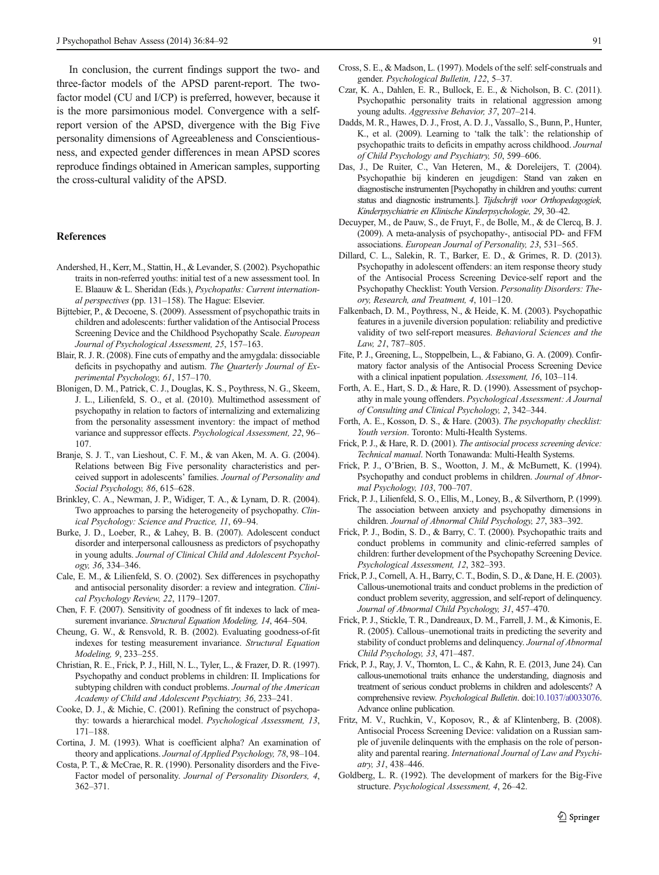<span id="page-7-0"></span>In conclusion, the current findings support the two- and three-factor models of the APSD parent-report. The twofactor model (CU and I/CP) is preferred, however, because it is the more parsimonious model. Convergence with a selfreport version of the APSD, divergence with the Big Five personality dimensions of Agreeableness and Conscientiousness, and expected gender differences in mean APSD scores reproduce findings obtained in American samples, supporting the cross-cultural validity of the APSD.

# **References**

- Andershed, H., Kerr, M., Stattin, H., & Levander, S. (2002). Psychopathic traits in non-referred youths: initial test of a new assessment tool. In E. Blaauw & L. Sheridan (Eds.), Psychopaths: Current international perspectives (pp. 131–158). The Hague: Elsevier.
- Bijttebier, P., & Decoene, S. (2009). Assessment of psychopathic traits in children and adolescents: further validation of the Antisocial Process Screening Device and the Childhood Psychopathy Scale. European Journal of Psychological Assessment, 25, 157–163.
- Blair, R. J. R. (2008). Fine cuts of empathy and the amygdala: dissociable deficits in psychopathy and autism. The Quarterly Journal of Experimental Psychology, 61, 157–170.
- Blonigen, D. M., Patrick, C. J., Douglas, K. S., Poythress, N. G., Skeem, J. L., Lilienfeld, S. O., et al. (2010). Multimethod assessment of psychopathy in relation to factors of internalizing and externalizing from the personality assessment inventory: the impact of method variance and suppressor effects. Psychological Assessment, 22, 96– 107.
- Branje, S. J. T., van Lieshout, C. F. M., & van Aken, M. A. G. (2004). Relations between Big Five personality characteristics and perceived support in adolescents' families. Journal of Personality and Social Psychology, 86, 615–628.
- Brinkley, C. A., Newman, J. P., Widiger, T. A., & Lynam, D. R. (2004). Two approaches to parsing the heterogeneity of psychopathy. Clinical Psychology: Science and Practice, 11, 69–94.
- Burke, J. D., Loeber, R., & Lahey, B. B. (2007). Adolescent conduct disorder and interpersonal callousness as predictors of psychopathy in young adults. Journal of Clinical Child and Adolescent Psychology, 36, 334–346.
- Cale, E. M., & Lilienfeld, S. O. (2002). Sex differences in psychopathy and antisocial personality disorder: a review and integration. Clinical Psychology Review, 22, 1179–1207.
- Chen, F. F. (2007). Sensitivity of goodness of fit indexes to lack of measurement invariance. Structural Equation Modeling, 14, 464–504.
- Cheung, G. W., & Rensvold, R. B. (2002). Evaluating goodness-of-fit indexes for testing measurement invariance. Structural Equation Modeling, 9, 233–255.
- Christian, R. E., Frick, P. J., Hill, N. L., Tyler, L., & Frazer, D. R. (1997). Psychopathy and conduct problems in children: II. Implications for subtyping children with conduct problems. Journal of the American Academy of Child and Adolescent Psychiatry, 36, 233–241.
- Cooke, D. J., & Michie, C. (2001). Refining the construct of psychopathy: towards a hierarchical model. Psychological Assessment, 13, 171–188.
- Cortina, J. M. (1993). What is coefficient alpha? An examination of theory and applications. Journal of Applied Psychology, 78, 98–104.
- Costa, P. T., & McCrae, R. R. (1990). Personality disorders and the Five-Factor model of personality. Journal of Personality Disorders, 4, 362–371.
- Cross, S. E., & Madson, L. (1997). Models of the self: self-construals and gender. Psychological Bulletin, 122, 5–37.
- Czar, K. A., Dahlen, E. R., Bullock, E. E., & Nicholson, B. C. (2011). Psychopathic personality traits in relational aggression among young adults. Aggressive Behavior, 37, 207–214.
- Dadds, M. R., Hawes, D. J., Frost, A. D. J., Vassallo, S., Bunn, P., Hunter, K., et al. (2009). Learning to 'talk the talk': the relationship of psychopathic traits to deficits in empathy across childhood. Journal of Child Psychology and Psychiatry, 50, 599–606.
- Das, J., De Ruiter, C., Van Heteren, M., & Doreleijers, T. (2004). Psychopathie bij kinderen en jeugdigen: Stand van zaken en diagnostische instrumenten [Psychopathy in children and youths: current status and diagnostic instruments.]. Tijdschrift voor Orthopedagogiek, Kinderpsychiatrie en Klinische Kinderpsychologie, 29, 30–42.
- Decuyper, M., de Pauw, S., de Fruyt, F., de Bolle, M., & de Clercq, B. J. (2009). A meta-analysis of psychopathy-, antisocial PD- and FFM associations. European Journal of Personality, 23, 531–565.
- Dillard, C. L., Salekin, R. T., Barker, E. D., & Grimes, R. D. (2013). Psychopathy in adolescent offenders: an item response theory study of the Antisocial Process Screening Device-self report and the Psychopathy Checklist: Youth Version. Personality Disorders: Theory, Research, and Treatment, 4, 101–120.
- Falkenbach, D. M., Poythress, N., & Heide, K. M. (2003). Psychopathic features in a juvenile diversion population: reliability and predictive validity of two self-report measures. Behavioral Sciences and the Law, 21, 787–805.
- Fite, P. J., Greening, L., Stoppelbein, L., & Fabiano, G. A. (2009). Confirmatory factor analysis of the Antisocial Process Screening Device with a clinical inpatient population. Assessment, 16, 103-114.
- Forth, A. E., Hart, S. D., & Hare, R. D. (1990). Assessment of psychopathy in male young offenders. Psychological Assessment: A Journal of Consulting and Clinical Psychology, 2, 342–344.
- Forth, A. E., Kosson, D. S., & Hare. (2003). The psychopathy checklist: Youth version. Toronto: Multi-Health Systems.
- Frick, P. J., & Hare, R. D. (2001). The antisocial process screening device: Technical manual. North Tonawanda: Multi-Health Systems.
- Frick, P. J., O'Brien, B. S., Wootton, J. M., & McBurnett, K. (1994). Psychopathy and conduct problems in children. Journal of Abnormal Psychology, 103, 700–707.
- Frick, P. J., Lilienfeld, S. O., Ellis, M., Loney, B., & Silverthorn, P. (1999). The association between anxiety and psychopathy dimensions in children. Journal of Abnormal Child Psychology, 27, 383–392.
- Frick, P. J., Bodin, S. D., & Barry, C. T. (2000). Psychopathic traits and conduct problems in community and clinic-referred samples of children: further development of the Psychopathy Screening Device. Psychological Assessment, 12, 382–393.
- Frick, P. J., Cornell, A. H., Barry, C. T., Bodin, S. D., & Dane, H. E. (2003). Callous-unemotional traits and conduct problems in the prediction of conduct problem severity, aggression, and self-report of delinquency. Journal of Abnormal Child Psychology, 31, 457–470.
- Frick, P. J., Stickle, T. R., Dandreaux, D. M., Farrell, J. M., & Kimonis, E. R. (2005). Callous–unemotional traits in predicting the severity and stability of conduct problems and delinquency. Journal of Abnormal Child Psychology, 33, 471–487.
- Frick, P. J., Ray, J. V., Thornton, L. C., & Kahn, R. E. (2013, June 24). Can callous-unemotional traits enhance the understanding, diagnosis and treatment of serious conduct problems in children and adolescents? A comprehensive review. Psychological Bulletin. doi[:10.1037/a0033076](http://dx.doi.org/10.1037/a0033076). Advance online publication.
- Fritz, M. V., Ruchkin, V., Koposov, R., & af Klintenberg, B. (2008). Antisocial Process Screening Device: validation on a Russian sample of juvenile delinquents with the emphasis on the role of personality and parental rearing. International Journal of Law and Psychiatry, 31, 438–446.
- Goldberg, L. R. (1992). The development of markers for the Big-Five structure. Psychological Assessment, 4, 26–42.